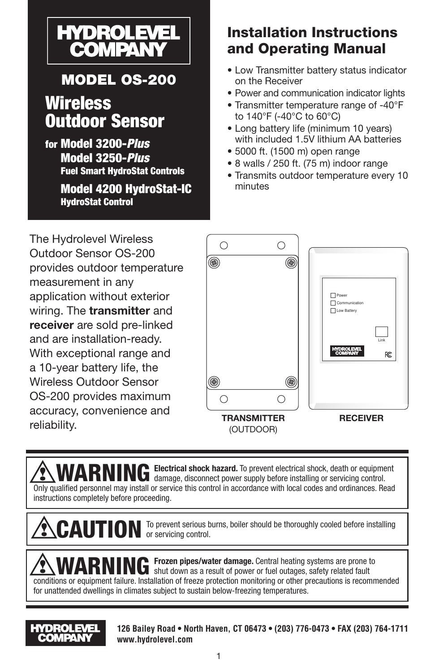

# MODEL OS-200

# **Wireless** Outdoor Sensor

for Model 3200-*Plus* Model 3250-*Plus* Fuel Smart HydroStat Controls

> Model 4200 HydroStat-IC HydroStat Control

# Installation Instructions and Operating Manual

- Low Transmitter battery status indicator on the Receiver
- Power and communication indicator lights
- Transmitter temperature range of -40°F to 140°F (-40°C to 60°C)
- Long battery life (minimum 10 years) with included 1.5V lithium AA batteries
- 5000 ft. (1500 m) open range
- 8 walls / 250 ft. (75 m) indoor range
- Transmits outdoor temperature every 10 minutes

The Hydrolevel Wireless Outdoor Sensor OS-200 provides outdoor temperature measurement in any application without exterior wiring. The **transmitter** and **receiver** are sold pre-linked and are installation-ready. With exceptional range and a 10-year battery life, the Wireless Outdoor Sensor OS-200 provides maximum accuracy, convenience and reliability.



**WARNING** Electrical shock hazard. To prevent electrical shock, death or equipment damage, disconnect power supply before installing or servicing control. Only qualified personnel may install or service this control in accordance with local codes and ordinances. Read instructions completely before proceeding.

**CAUTION** To prevent serious burns, boiler should be thoroughly cooled before installing or servicing control.

**WARNING** Frozen pipes/water damage. Central heating systems are prone to shut down as a result of power or fuel outages, safety related fault conditions or equipment failure. Installation of freeze protection monitoring or other precautions is recommended for unattended dwellings in climates subject to sustain below-freezing temperatures.



**126 Bailey Road • North Haven, CT 06473 • (203) 776-0473 • FAX (203) 764-1711 www.hydrolevel.com**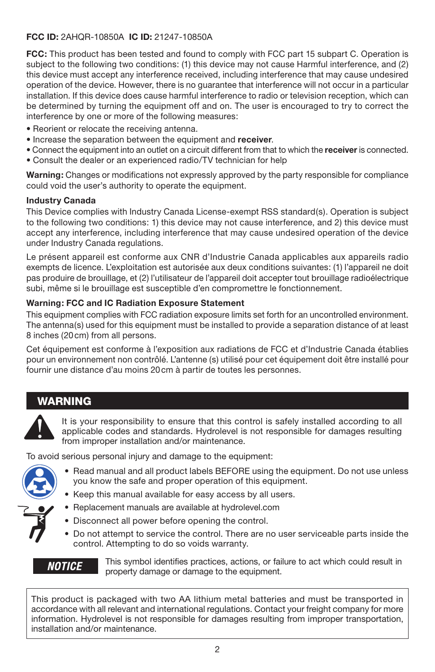#### **FCC ID:** 2AHQR-10850A **IC ID:** 21247-10850A

**FCC:** This product has been tested and found to comply with FCC part 15 subpart C. Operation is subject to the following two conditions: (1) this device may not cause Harmful interference, and (2) this device must accept any interference received, including interference that may cause undesired operation of the device. However, there is no guarantee that interference will not occur in a particular installation. If this device does cause harmful interference to radio or television reception, which can be determined by turning the equipment off and on. The user is encouraged to try to correct the interference by one or more of the following measures:

- Reorient or relocate the receiving antenna.
- Increase the separation between the equipment and **receiver**.
- Connect the equipment into an outlet on a circuit different from that to which the **receiver** is connected.
- Consult the dealer or an experienced radio/TV technician for help

**Warning:** Changes or modifications not expressly approved by the party responsible for compliance could void the user's authority to operate the equipment.

#### **Industry Canada**

This Device complies with Industry Canada License-exempt RSS standard(s). Operation is subject to the following two conditions: 1) this device may not cause interference, and 2) this device must accept any interference, including interference that may cause undesired operation of the device under Industry Canada regulations.

Le présent appareil est conforme aux CNR d'Industrie Canada applicables aux appareils radio exempts de licence. L'exploitation est autorisée aux deux conditions suivantes: (1) l'appareil ne doit pas produire de brouillage, et (2) l'utilisateur de l'appareil doit accepter tout brouillage radioélectrique subi, même si le brouillage est susceptible d'en compromettre le fonctionnement.

#### **Warning: FCC and IC Radiation Exposure Statement**

This equipment complies with FCC radiation exposure limits set forth for an uncontrolled environment. The antenna(s) used for this equipment must be installed to provide a separation distance of at least 8 inches (20cm) from all persons.

Cet équipement est conforme à l'exposition aux radiations de FCC et d'Industrie Canada établies pour un environnement non contrôlé. L'antenne (s) utilisé pour cet équipement doit être installé pour fournir une distance d'au moins 20cm à partir de toutes les personnes.

### WARNING



It is your responsibility to ensure that this control is safely installed according to all applicable codes and standards. Hydrolevel is not responsible for damages resulting from improper installation and/or maintenance.

To avoid serious personal injury and damage to the equipment:



- Read manual and all product labels BEFORE using the equipment. Do not use unless you know the safe and proper operation of this equipment.
- Keep this manual available for easy access by all users.
- Replacement manuals are available at hydrolevel.com
- Disconnect all power before opening the control.
- Do not attempt to service the control. There are no user serviceable parts inside the control. Attempting to do so voids warranty.

#### *NOTICE*

This symbol identifies practices, actions, or failure to act which could result in property damage or damage to the equipment.

This product is packaged with two AA lithium metal batteries and must be transported in accordance with all relevant and international regulations. Contact your freight company for more information. Hydrolevel is not responsible for damages resulting from improper transportation, installation and/or maintenance.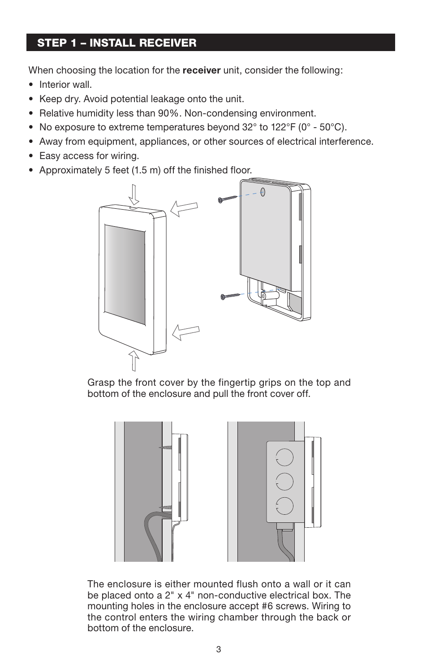### STEP 1 – INSTALL RECEIVER

When choosing the location for the **receiver** unit, consider the following:

- Interior wall.
- Keep dry. Avoid potential leakage onto the unit.
- Relative humidity less than 90%. Non-condensing environment.
- No exposure to extreme temperatures beyond 32° to 122°F (0° 50°C).
- Away from equipment, appliances, or other sources of electrical interference.
- Easy access for wiring.
- Approximately 5 feet (1.5 m) off the finished floor.



Grasp the front cover by the fingertip grips on the top and bottom of the enclosure and pull the front cover off.



The enclosure is either mounted flush onto a wall or it can be placed onto a 2" x 4" non-conductive electrical box. The mounting holes in the enclosure accept #6 screws. Wiring to the control enters the wiring chamber through the back or bottom of the enclosure.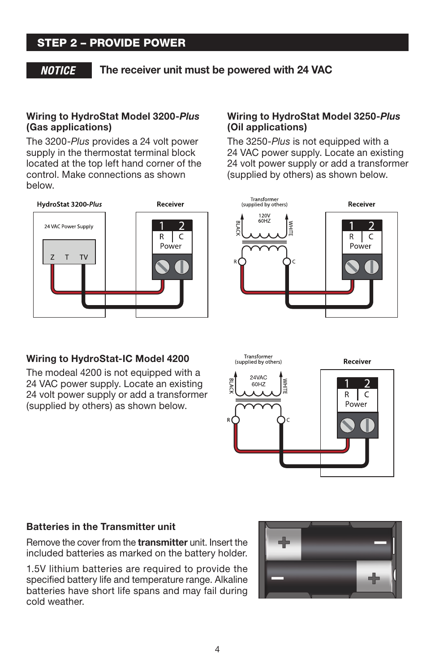### STEP 2 – PROVIDE POWER

#### **NOTICE**

**The receiver unit must be powered with 24 VAC**

#### **Wiring to HydroStat Model 3200-***Plus* **(Gas applications)**

The 3200-*Plus* provides a 24 volt power supply in the thermostat terminal block located at the top left hand corner of the control. Make connections as shown below.



#### **Wiring to HydroStat-IC Model 4200**

The modeal 4200 is not equipped with a 24 VAC power supply. Locate an existing 24 volt power supply or add a transformer (supplied by others) as shown below.

#### **Wiring to HydroStat Model 3250-***Plus* **(Oil applications)**

The 3250-*Plus* is not equipped with a 24 VAC power supply. Locate an existing 24 volt power supply or add a transformer (supplied by others) as shown below.





#### **Batteries in the Transmitter unit**

Remove the cover from the **transmitter** unit. Insert the included batteries as marked on the battery holder.

1.5V lithium batteries are required to provide the specified battery life and temperature range. Alkaline batteries have short life spans and may fail during cold weather.

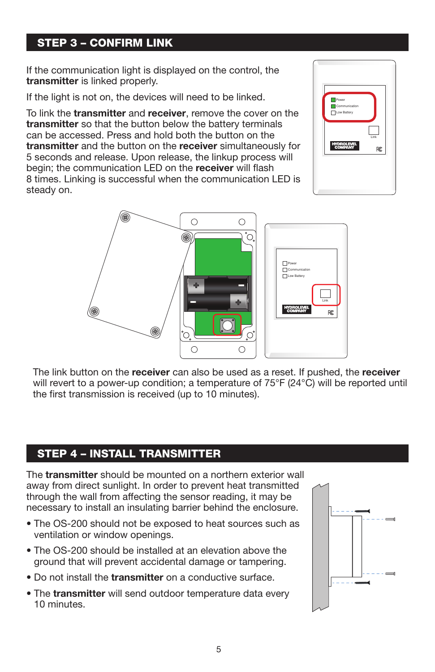### STEP 3 – CONFIRM LINK

If the communication light is displayed on the control, the **transmitter** is linked properly.

If the light is not on, the devices will need to be linked.

國

To link the **transmitter** and **receiver**, remove the cover on the **transmitter** so that the button below the battery terminals can be accessed. Press and hold both the button on the **transmitter** and the button on the **receiver** simultaneously for 5 seconds and release. Upon release, the linkup process will begin; the communication LED on the **receiver** will flash 8 times. Linking is successful when the communication LED is steady on.



 $\circ$  $\circ$ 

∩

The link button on the **receiver** can also be used as a reset. If pushed, the **receiver** will revert to a power-up condition; a temperature of 75°F (24°C) will be reported until the first transmission is received (up to 10 minutes).

### STEP 4 – INSTALL TRANSMITTER

The **transmitter** should be mounted on a northern exterior wall away from direct sunlight. In order to prevent heat transmitted through the wall from affecting the sensor reading, it may be necessary to install an insulating barrier behind the enclosure.

- The OS-200 should not be exposed to heat sources such as ventilation or window openings.
- The OS-200 should be installed at an elevation above the ground that will prevent accidental damage or tampering.
- Do not install the **transmitter** on a conductive surface.
- The **transmitter** will send outdoor temperature data every 10 minutes.



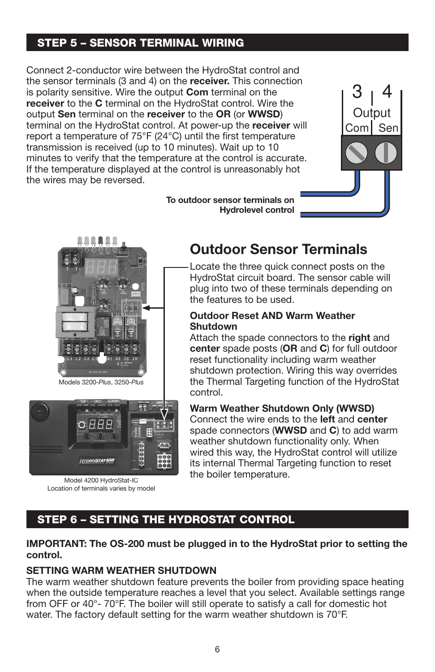### STEP 5 – SENSOR TERMINAL WIRING

Connect 2-conductor wire between the HydroStat control and the sensor terminals (3 and 4) on the **receiver.** This connection is polarity sensitive. Wire the output **Com** terminal on the **receiver** to the **C** terminal on the HydroStat control. Wire the output **Sen** terminal on the **receiver** to the **OR** (or **WWSD**) terminal on the HydroStat control. At power-up the **receiver** will report a temperature of 75°F (24°C) until the first temperature transmission is received (up to 10 minutes). Wait up to 10 minutes to verify that the temperature at the control is accurate. If the temperature displayed at the control is unreasonably hot the wires may be reversed.

> **To outdoor sensor terminals on Hydrolevel control**





Models 3200-*Plus*, 3250-*Plus*



Model 4200 HydroStat-IC Location of terminals varies by model

# **Outdoor Sensor Terminals**

Locate the three quick connect posts on the HydroStat circuit board. The sensor cable will plug into two of these terminals depending on the features to be used.

#### **Outdoor Reset AND Warm Weather Shutdown**

Attach the spade connectors to the **right** and **center** spade posts (**OR** and **C**) for full outdoor reset functionality including warm weather shutdown protection. Wiring this way overrides the Thermal Targeting function of the HydroStat control.

#### **Warm Weather Shutdown Only (WWSD)**

Connect the wire ends to the **left** and **center** spade connectors (**WWSD** and **C**) to add warm weather shutdown functionality only. When wired this way, the HydroStat control will utilize its internal Thermal Targeting function to reset the boiler temperature.

### STEP 6 – SETTING THE HYDROSTAT CONTROL

#### **IMPORTANT: The OS-200 must be plugged in to the HydroStat prior to setting the control.**

#### **SETTING WARM WEATHER SHUTDOWN**

The warm weather shutdown feature prevents the boiler from providing space heating when the outside temperature reaches a level that you select. Available settings range from OFF or 40°- 70°F. The boiler will still operate to satisfy a call for domestic hot water. The factory default setting for the warm weather shutdown is 70°F.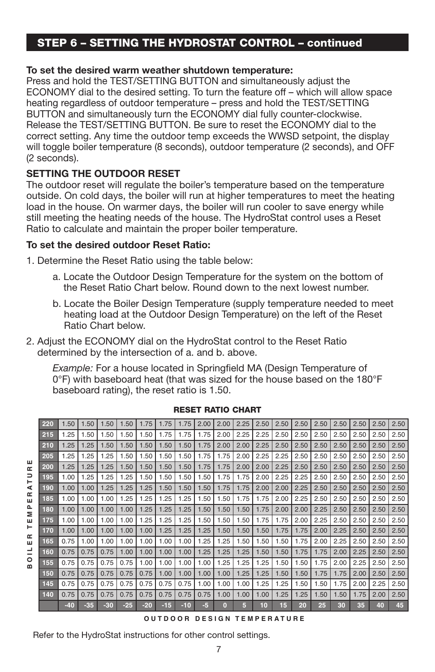### STEP 6 – SETTING THE HYDROSTAT CONTROL – continued

#### **To set the desired warm weather shutdown temperature:**

Press and hold the TEST/SETTING BUTTON and simultaneously adjust the ECONOMY dial to the desired setting. To turn the feature off – which will allow space heating regardless of outdoor temperature – press and hold the TEST/SETTING BUTTON and simultaneously turn the ECONOMY dial fully counter-clockwise. Release the TEST/SETTING BUTTON. Be sure to reset the ECONOMY dial to the correct setting. Any time the outdoor temp exceeds the WWSD setpoint, the display will toggle boiler temperature (8 seconds), outdoor temperature (2 seconds), and OFF (2 seconds).

#### **SETTING THE OUTDOOR RESET**

ш

The outdoor reset will regulate the boiler's temperature based on the temperature outside. On cold days, the boiler will run at higher temperatures to meet the heating load in the house. On warmer days, the boiler will run cooler to save energy while still meeting the heating needs of the house. The HydroStat control uses a Reset Ratio to calculate and maintain the proper boiler temperature.

#### **To set the desired outdoor Reset Ratio:**

- 1. Determine the Reset Ratio using the table below:
	- a. Locate the Outdoor Design Temperature for the system on the bottom of the Reset Ratio Chart below. Round down to the next lowest number.
	- b. Locate the Boiler Design Temperature (supply temperature needed to meet heating load at the Outdoor Design Temperature) on the left of the Reset Ratio Chart below.
- 2. Adjust the ECONOMY dial on the HydroStat control to the Reset Ratio determined by the intersection of a. and b. above.

*Example:* For a house located in Springfield MA (Design Temperature of 0°F) with baseboard heat (that was sized for the house based on the 180°F baseboard rating), the reset ratio is 1.50.

 1.50 1.50 1.50 1.50 1.75 1.75 1.75 2.00 2.00 2.25 2.50 2.50 2.50 2.50 2.50 2.50 2.50 2.50 1.25 1.50 1.50 1.50 1.50 1.75 1.75 1.75 2.00 2.25 2.25 2.50 2.50 2.50 2.50 2.50 2.50 2.50 1.25 1.25 1.50 1.50 1.50 1.50 1.50 1.75 2.00 2.00 2.25 2.50 2.50 2.50 2.50 2.50 2.50 2.50 1.25 1.25 1.25 1.50 1.50 1.50 1.50 1.75 1.75 2.00 2.25 2.25 2.50 2.50 2.50 2.50 2.50 2.50 **BOILER TEMPERA T URE** 1.25 1.25 1.25 1.50 1.50 1.50 1.50 1.75 1.75 2.00 2.00 2.25 2.50 2.50 2.50 2.50 2.50 2.50 TEMPERATUR 1.00 1.25 1.25 1.25 1.50 1.50 1.50 1.50 1.75 1.75 2.00 2.25 2.25 2.50 2.50 2.50 2.50 2.50 **| 1.00 | 1.00 | 1.25 | 1.25 | 1.25 | 1.50 | 1.50 | 1.50 | 1.75 | 1.75 | 2.00 | 2.00 | 2.25 | 2.50 | 2.50 | 2.50 | 2.50 | 2.50 | 2.50 1.00 1.00 1.00 1.25 1.25 1.25 1.25 1.25 1.50 1.50 1.**75 **1.75 | 1.75 | 2.00 | 2.25 | 2.50 | 2.50 | 2.50 | 2.50** | 2.50 1.00 1.00 1.00 1.00 1.25 1.25 1.25 1.50 1.50 1.50 1.75 2.00 2.00 2.25 2.50 2.50 2.50 2.50 **1.00 1.00 1.00 1.00 1.00 1.25 1.25 1.25 1.25 1.50 1.50 1.50 1.75 1.75 2.00 2.25 2.50 2.50 2.50 2.50 2.50 | 1.00 | 1.00 | 1.00 | 1.00 | 1.00 | 1.25 | 1.25 | 1.25 | 1.25 | 1.50 | 1.50 | 1.75 | 1.75 | 2.00 | 2.25 | 2.50 | 2.50 | 2.50 | 2.50** OILER 0.75 1.00 1.00 1.00 1.00 1.00 1.00 1.25 1.25 1.50 1.50 1.50 1.75 2.00 2.25 2.50 2.50 2.50 **0.75 | 0.75 | 0.75 | 1.00 | 1.00 | 1.00 | 1.00 | 1.25 | 1.25 | 1.25 | 1.50 | 1.50 | 1.75 | 1.75 | 2.00 | 2.25 | 2.50 | 2.50**  0.75 0.75 0.75 0.75 1.00 1.00 1.00 1.00 1.25 1.25 1.25 1.50 1.50 1.75 2.00 2.25 2.50 2.50 0.75 0.75 0.75 0.75 0.75 1.00 1.00 1.00 1.00 1.25 1.25 1.50 1.50 1.75 1.75 2.00 2.50 2.50 0.75 0.75 0.75 0.75 0.75 0.75 0.75 1.00 1.00 1.00 1.25 1.25 1.50 1.50 1.75 2.00 2.25 2.50 0.75 0.75 0.75 0.75 0.75 0.75 0.75 0.75 1.00 1.00 1.00 1.25 1.25 1.50 1.50 1.75 2.00 2.50 **-40 -35 -30 -25 -20 -15 -10 -5 0 5 10 15 20 25 30 35 40 45 OUTDOOR DESIGN TEMPERA T URE**

RESET RATIO CHART

Refer to the HydroStat instructions for other control settings.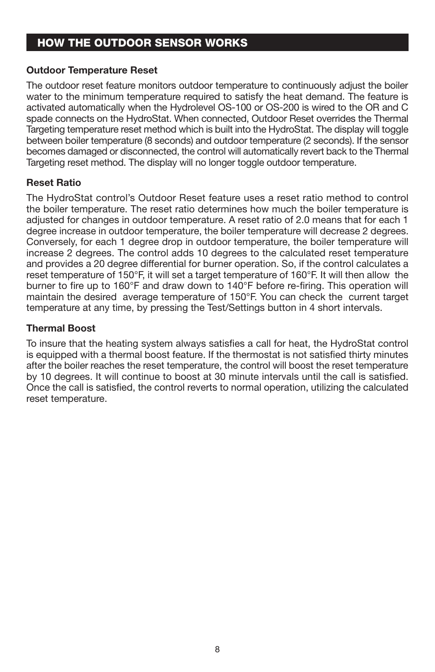### HOW THE OUTDOOR SENSOR WORKS

#### **Outdoor Temperature Reset**

The outdoor reset feature monitors outdoor temperature to continuously adjust the boiler water to the minimum temperature required to satisfy the heat demand. The feature is activated automatically when the Hydrolevel OS-100 or OS-200 is wired to the OR and C spade connects on the HydroStat. When connected, Outdoor Reset overrides the Thermal Targeting temperature reset method which is built into the HydroStat. The display will toggle between boiler temperature (8 seconds) and outdoor temperature (2 seconds). If the sensor becomes damaged or disconnected, the control will automatically revert back to the Thermal Targeting reset method. The display will no longer toggle outdoor temperature.

#### **Reset Ratio**

The HydroStat control's Outdoor Reset feature uses a reset ratio method to control the boiler temperature. The reset ratio determines how much the boiler temperature is adjusted for changes in outdoor temperature. A reset ratio of 2.0 means that for each 1 degree increase in outdoor temperature, the boiler temperature will decrease 2 degrees. Conversely, for each 1 degree drop in outdoor temperature, the boiler temperature will increase 2 degrees. The control adds 10 degrees to the calculated reset temperature and provides a 20 degree differential for burner operation. So, if the control calculates a reset temperature of 150°F, it will set a target temperature of 160°F. It will then allow the burner to fire up to 160°F and draw down to 140°F before re-firing. This operation will maintain the desired average temperature of 150°F. You can check the current target temperature at any time, by pressing the Test/Settings button in 4 short intervals.

#### **Thermal Boost**

To insure that the heating system always satisfies a call for heat, the HydroStat control is equipped with a thermal boost feature. If the thermostat is not satisfied thirty minutes after the boiler reaches the reset temperature, the control will boost the reset temperature by 10 degrees. It will continue to boost at 30 minute intervals until the call is satisfied. Once the call is satisfied, the control reverts to normal operation, utilizing the calculated reset temperature.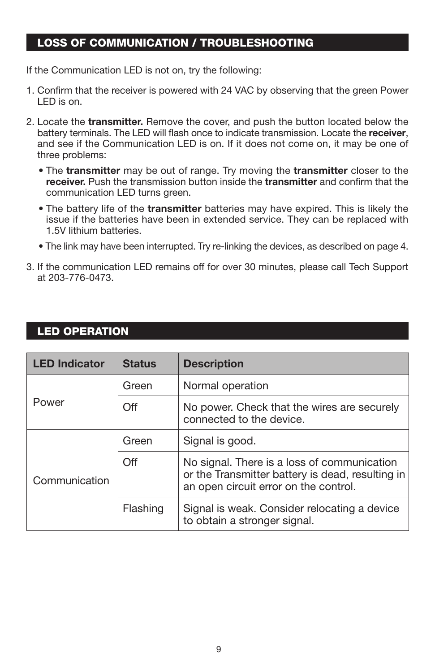### LOSS OF COMMUNICATION / TROUBLESHOOTING

If the Communication LED is not on, try the following:

- 1. Confirm that the receiver is powered with 24 VAC by observing that the green Power LED is on.
- 2. Locate the **transmitter.** Remove the cover, and push the button located below the battery terminals. The LED will flash once to indicate transmission. Locate the **receiver**, and see if the Communication LED is on. If it does not come on, it may be one of three problems:
	- The **transmitter** may be out of range. Try moving the **transmitter** closer to the **receiver.** Push the transmission button inside the **transmitter** and confirm that the communication LED turns green.
	- The battery life of the **transmitter** batteries may have expired. This is likely the issue if the batteries have been in extended service. They can be replaced with 1.5V lithium batteries.
	- The link may have been interrupted. Try re-linking the devices, as described on page 4.
- 3. If the communication LED remains off for over 30 minutes, please call Tech Support at 203-776-0473.

### LED OPERATION

| <b>LED Indicator</b> | <b>Status</b> | <b>Description</b>                                                                                                                       |
|----------------------|---------------|------------------------------------------------------------------------------------------------------------------------------------------|
| Power                | Green         | Normal operation                                                                                                                         |
|                      | Off           | No power. Check that the wires are securely<br>connected to the device.                                                                  |
| Communication        | Green         | Signal is good.                                                                                                                          |
|                      | Off           | No signal. There is a loss of communication<br>or the Transmitter battery is dead, resulting in<br>an open circuit error on the control. |
|                      | Flashing      | Signal is weak. Consider relocating a device<br>to obtain a stronger signal.                                                             |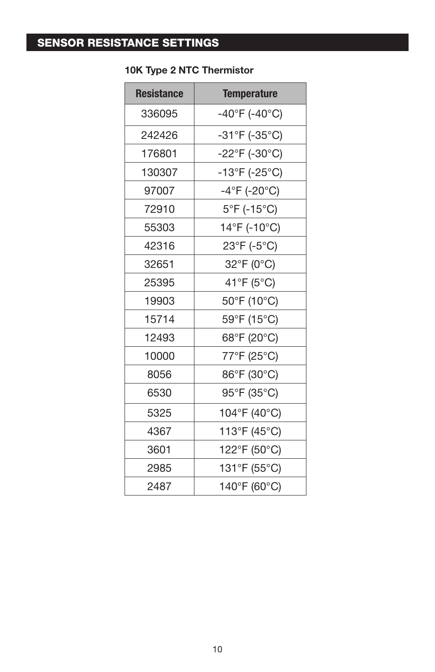## SENSOR RESISTANCE SETTINGS

| <b>Resistance</b> | <b>Temperature</b>                 |
|-------------------|------------------------------------|
| 336095            | $-40^{\circ}$ F (-40°C)            |
| 242426            | $-31^{\circ}F(-35^{\circ}C)$       |
| 176801            | $-22^{\circ}$ F (-30 $^{\circ}$ C) |
| 130307            | -13°F (-25°C)                      |
| 97007             | $-4^{\circ}$ F (-20 $^{\circ}$ C)  |
| 72910             | $5^{\circ}$ F (-15 $^{\circ}$ C)   |
| 55303             | 14°F (-10°C)                       |
| 42316             | $23^{\circ}F(-5^{\circ}C)$         |
| 32651             | 32°F (0°C)                         |
| 25395             | 41°F (5°C)                         |
| 19903             | 50°F (10°C)                        |
| 15714             | 59°F (15°C)                        |
| 12493             | 68°F (20°C)                        |
| 10000             | 77°F (25°C)                        |
| 8056              | 86°F (30°C)                        |
| 6530              | 95°F (35°C)                        |
| 5325              | 104°F (40°C)                       |
| 4367              | 113°F (45°C)                       |
| 3601              | 122°F (50°C)                       |
| 2985              | 131°F (55°C)                       |
| 2487              | 140°F (60°C)                       |

### **10K Type 2 NTC Thermistor**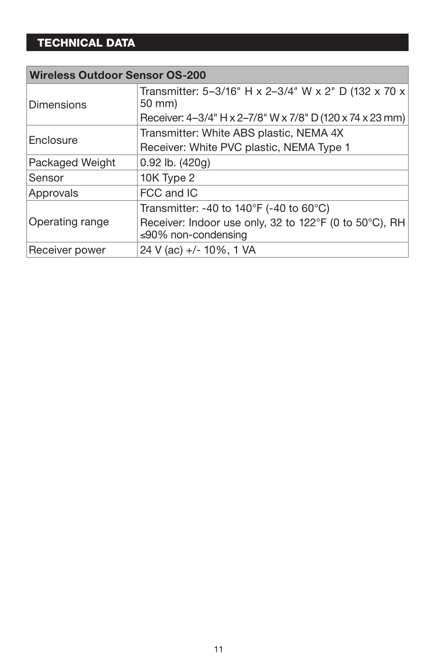# TECHNICAL DATA

| <b>Wireless Outdoor Sensor OS-200</b> |                                                                                                                                               |  |
|---------------------------------------|-----------------------------------------------------------------------------------------------------------------------------------------------|--|
| <b>Dimensions</b>                     | Transmitter: 5-3/16" H x 2-3/4" W x 2" D (132 x 70 x<br>50 mm)<br>Receiver: 4-3/4" H x 2-7/8" W x 7/8" D (120 x 74 x 23 mm)                   |  |
| Enclosure                             | Transmitter: White ABS plastic, NEMA 4X<br>Receiver: White PVC plastic, NEMA Type 1                                                           |  |
| Packaged Weight                       | $0.92$ lb. $(420g)$                                                                                                                           |  |
| Sensor                                | 10K Type 2                                                                                                                                    |  |
| Approvals                             | FCC and IC                                                                                                                                    |  |
| Operating range                       | Transmitter: -40 to $140^{\circ}$ F (-40 to 60 $^{\circ}$ C)<br>Receiver: Indoor use only, 32 to 122°F (0 to 50°C), RH<br>≤90% non-condensing |  |
| Receiver power                        | 24 V (ac) +/- 10%, 1 VA                                                                                                                       |  |